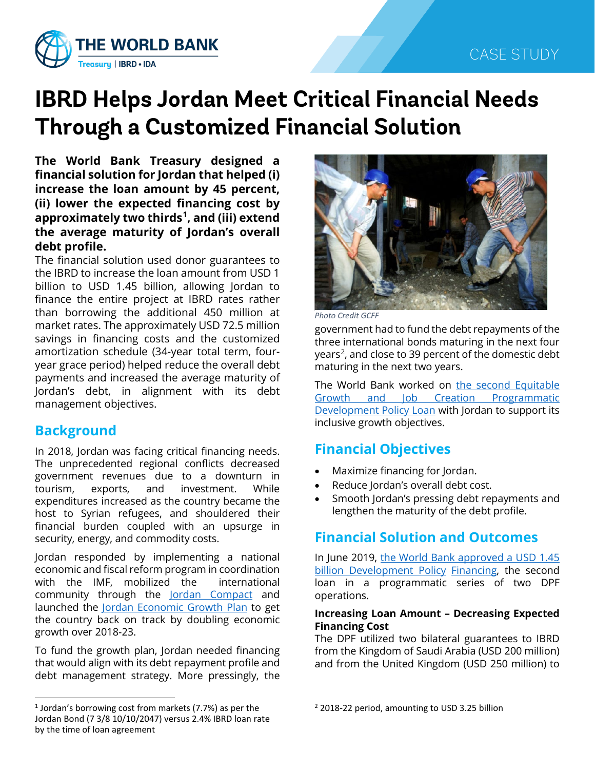

# **IBRD Helps Jordan Meet Critical Financial Needs Through a Customized Financial Solution**

**The World Bank Treasury designed a financial solution for Jordan that helped (i) increase the loan amount by 45 percent, (ii) lower the expected financing cost by approximately two thirds[1](#page-0-0) , and (iii) extend the average maturity of Jordan's overall debt profile.**

The financial solution used donor guarantees to the IBRD to increase the loan amount from USD 1 billion to USD 1.45 billion, allowing Jordan to finance the entire project at IBRD rates rather than borrowing the additional 450 million at market rates. The approximately USD 72.5 million savings in financing costs and the customized amortization schedule (34-year total term, fouryear grace period) helped reduce the overall debt payments and increased the average maturity of Jordan's debt, in alignment with its debt management objectives.

## **Background**

In 2018, Jordan was facing critical financing needs. The unprecedented regional conflicts decreased government revenues due to a downturn in tourism, exports, and investment. While expenditures increased as the country became the host to Syrian refugees, and shouldered their financial burden coupled with an upsurge in security, energy, and commodity costs.

Jordan responded by implementing a national economic and fiscal reform program in coordination with the IMF, mobilized the international community through the **[Jordan Compact](https://blogs.worldbank.org/arabvoices/new-economic-opportunities-jordanians-and-syrian-refugees)** and launched the [Jordan Economic Growth Plan](https://www.jordantimes.com/news/local/plan-launched-stimulate-economic-growth-over-5-years) to get the country back on track by doubling economic growth over 2018-23.

To fund the growth plan, Jordan needed financing that would align with its debt repayment profile and debt management strategy. More pressingly, the



*Photo Credit GCFF*

government had to fund the debt repayments of the three international bonds maturing in the next four years<sup>2</sup>, and close to 39 percent of the domestic debt maturing in the next two years.

The World Bank worked on [the second Equitable](https://www.worldbank.org/en/country/jordan/brief/second-equitable-growth-and-job-creation-programmatic-development-policy-financing)  [Growth and Job Creation Programmatic](https://www.worldbank.org/en/country/jordan/brief/second-equitable-growth-and-job-creation-programmatic-development-policy-financing)  [Development Policy Loan](https://www.worldbank.org/en/country/jordan/brief/second-equitable-growth-and-job-creation-programmatic-development-policy-financing) with Jordan to support its inclusive growth objectives.

# **Financial Objectives**

- Maximize financing for Jordan.
- Reduce Jordan's overall debt cost.
- Smooth Jordan's pressing debt repayments and lengthen the maturity of the debt profile.

# **Financial Solution and Outcomes**

In June 2019, [the World Bank approved a USD](https://www.worldbank.org/en/country/jordan/brief/second-equitable-growth-and-job-creation-programmatic-development-policy-financing) 1.45 [billion Development Policy](https://www.worldbank.org/en/country/jordan/brief/second-equitable-growth-and-job-creation-programmatic-development-policy-financing) Financing, the second loan in a programmatic series of two DPF operations.

#### **Increasing Loan Amount – Decreasing Expected Financing Cost**

The DPF utilized two bilateral guarantees to IBRD from the Kingdom of Saudi Arabia (USD 200 million) and from the United Kingdom (USD 250 million) to

<span id="page-0-0"></span><sup>&</sup>lt;sup>1</sup> Jordan's borrowing cost from markets (7.7%) as per the Jordan Bond (7 3/8 10/10/2047) versus 2.4% IBRD loan rate by the time of loan agreement

<sup>&</sup>lt;sup>2</sup> 2018-22 period, amounting to USD 3.25 billion